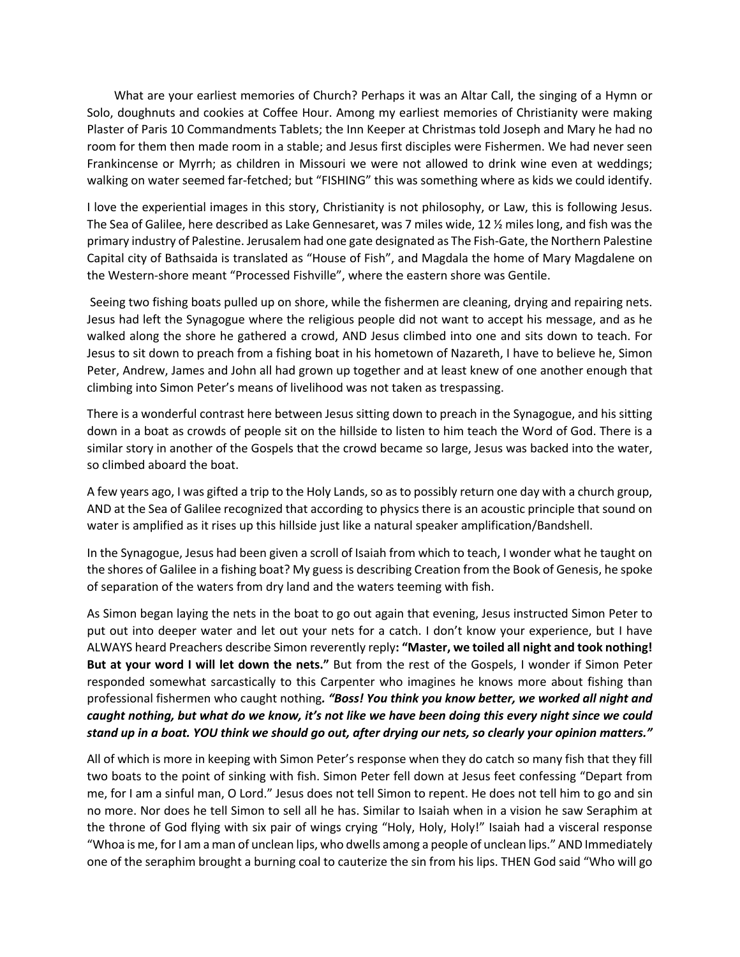What are your earliest memories of Church? Perhaps it was an Altar Call, the singing of a Hymn or Solo, doughnuts and cookies at Coffee Hour. Among my earliest memories of Christianity were making Plaster of Paris 10 Commandments Tablets; the Inn Keeper at Christmas told Joseph and Mary he had no room for them then made room in a stable; and Jesus first disciples were Fishermen. We had never seen Frankincense or Myrrh; as children in Missouri we were not allowed to drink wine even at weddings; walking on water seemed far-fetched; but "FISHING" this was something where as kids we could identify.

I love the experiential images in this story, Christianity is not philosophy, or Law, this is following Jesus. The Sea of Galilee, here described as Lake Gennesaret, was 7 miles wide, 12 ½ miles long, and fish was the primary industry of Palestine. Jerusalem had one gate designated as The Fish-Gate, the Northern Palestine Capital city of Bathsaida is translated as "House of Fish", and Magdala the home of Mary Magdalene on the Western-shore meant "Processed Fishville", where the eastern shore was Gentile.

Seeing two fishing boats pulled up on shore, while the fishermen are cleaning, drying and repairing nets. Jesus had left the Synagogue where the religious people did not want to accept his message, and as he walked along the shore he gathered a crowd, AND Jesus climbed into one and sits down to teach. For Jesus to sit down to preach from a fishing boat in his hometown of Nazareth, I have to believe he, Simon Peter, Andrew, James and John all had grown up together and at least knew of one another enough that climbing into Simon Peter's means of livelihood was not taken as trespassing.

There is a wonderful contrast here between Jesus sitting down to preach in the Synagogue, and his sitting down in a boat as crowds of people sit on the hillside to listen to him teach the Word of God. There is a similar story in another of the Gospels that the crowd became so large, Jesus was backed into the water, so climbed aboard the boat.

A few years ago, I was gifted a trip to the Holy Lands, so as to possibly return one day with a church group, AND at the Sea of Galilee recognized that according to physics there is an acoustic principle that sound on water is amplified as it rises up this hillside just like a natural speaker amplification/Bandshell.

In the Synagogue, Jesus had been given a scroll of Isaiah from which to teach, I wonder what he taught on the shores of Galilee in a fishing boat? My guess is describing Creation from the Book of Genesis, he spoke of separation of the waters from dry land and the waters teeming with fish.

As Simon began laying the nets in the boat to go out again that evening, Jesus instructed Simon Peter to put out into deeper water and let out your nets for a catch. I don't know your experience, but I have ALWAYS heard Preachers describe Simon reverently reply**: "Master, we toiled all night and took nothing! But at your word I will let down the nets."** But from the rest of the Gospels, I wonder if Simon Peter responded somewhat sarcastically to this Carpenter who imagines he knows more about fishing than professional fishermen who caught nothing*. "Boss! You think you know better, we worked all night and caught nothing, but what do we know, it's not like we have been doing this every night since we could stand up in a boat. YOU think we should go out, after drying our nets, so clearly your opinion matters."*

All of which is more in keeping with Simon Peter's response when they do catch so many fish that they fill two boats to the point of sinking with fish. Simon Peter fell down at Jesus feet confessing "Depart from me, for I am a sinful man, O Lord." Jesus does not tell Simon to repent. He does not tell him to go and sin no more. Nor does he tell Simon to sell all he has. Similar to Isaiah when in a vision he saw Seraphim at the throne of God flying with six pair of wings crying "Holy, Holy, Holy!" Isaiah had a visceral response "Whoa is me, for I am a man of unclean lips, who dwells among a people of unclean lips." AND Immediately one of the seraphim brought a burning coal to cauterize the sin from his lips. THEN God said "Who will go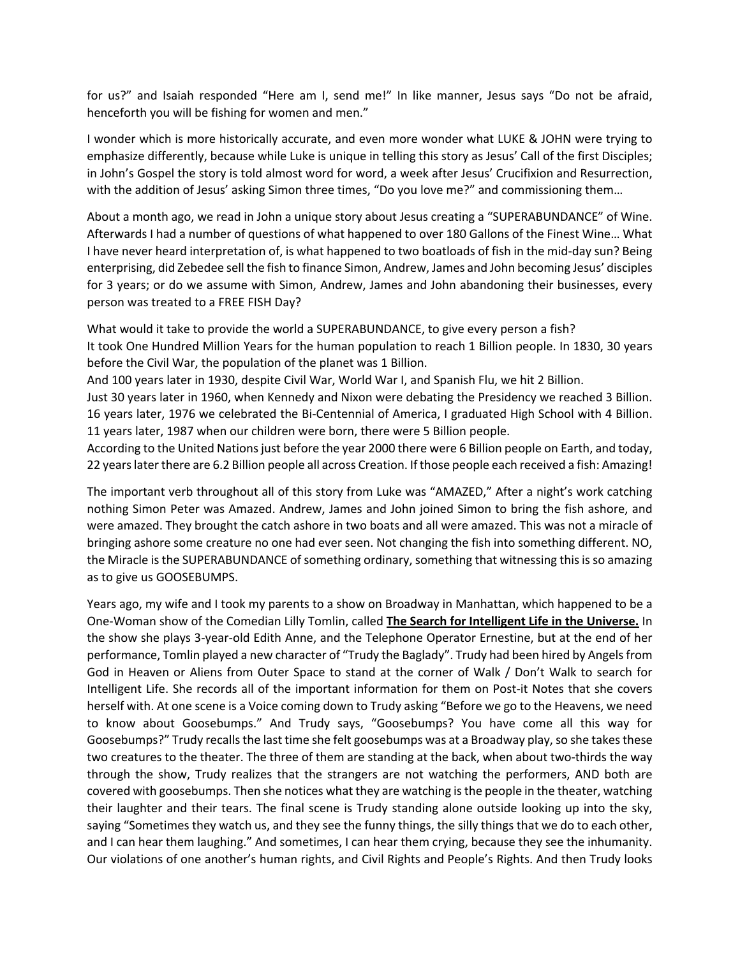for us?" and Isaiah responded "Here am I, send me!" In like manner, Jesus says "Do not be afraid, henceforth you will be fishing for women and men."

I wonder which is more historically accurate, and even more wonder what LUKE & JOHN were trying to emphasize differently, because while Luke is unique in telling this story as Jesus' Call of the first Disciples; in John's Gospel the story is told almost word for word, a week after Jesus' Crucifixion and Resurrection, with the addition of Jesus' asking Simon three times, "Do you love me?" and commissioning them…

About a month ago, we read in John a unique story about Jesus creating a "SUPERABUNDANCE" of Wine. Afterwards I had a number of questions of what happened to over 180 Gallons of the Finest Wine… What I have never heard interpretation of, is what happened to two boatloads of fish in the mid-day sun? Being enterprising, did Zebedee sell the fish to finance Simon, Andrew, James and John becoming Jesus' disciples for 3 years; or do we assume with Simon, Andrew, James and John abandoning their businesses, every person was treated to a FREE FISH Day?

What would it take to provide the world a SUPERABUNDANCE, to give every person a fish? It took One Hundred Million Years for the human population to reach 1 Billion people. In 1830, 30 years before the Civil War, the population of the planet was 1 Billion.

And 100 years later in 1930, despite Civil War, World War I, and Spanish Flu, we hit 2 Billion.

Just 30 years later in 1960, when Kennedy and Nixon were debating the Presidency we reached 3 Billion. 16 years later, 1976 we celebrated the Bi-Centennial of America, I graduated High School with 4 Billion. 11 years later, 1987 when our children were born, there were 5 Billion people.

According to the United Nations just before the year 2000 there were 6 Billion people on Earth, and today, 22 years later there are 6.2 Billion people all across Creation. If those people each received a fish: Amazing!

The important verb throughout all of this story from Luke was "AMAZED," After a night's work catching nothing Simon Peter was Amazed. Andrew, James and John joined Simon to bring the fish ashore, and were amazed. They brought the catch ashore in two boats and all were amazed. This was not a miracle of bringing ashore some creature no one had ever seen. Not changing the fish into something different. NO, the Miracle is the SUPERABUNDANCE of something ordinary, something that witnessing thisis so amazing as to give us GOOSEBUMPS.

Years ago, my wife and I took my parents to a show on Broadway in Manhattan, which happened to be a One-Woman show of the Comedian Lilly Tomlin, called **The Search for Intelligent Life in the Universe.** In the show she plays 3-year-old Edith Anne, and the Telephone Operator Ernestine, but at the end of her performance, Tomlin played a new character of "Trudy the Baglady". Trudy had been hired by Angels from God in Heaven or Aliens from Outer Space to stand at the corner of Walk / Don't Walk to search for Intelligent Life. She records all of the important information for them on Post-it Notes that she covers herself with. At one scene is a Voice coming down to Trudy asking "Before we go to the Heavens, we need to know about Goosebumps." And Trudy says, "Goosebumps? You have come all this way for Goosebumps?" Trudy recalls the last time she felt goosebumps was at a Broadway play, so she takes these two creatures to the theater. The three of them are standing at the back, when about two-thirds the way through the show, Trudy realizes that the strangers are not watching the performers, AND both are covered with goosebumps. Then she notices what they are watching isthe people in the theater, watching their laughter and their tears. The final scene is Trudy standing alone outside looking up into the sky, saying "Sometimes they watch us, and they see the funny things, the silly things that we do to each other, and I can hear them laughing." And sometimes, I can hear them crying, because they see the inhumanity. Our violations of one another's human rights, and Civil Rights and People's Rights. And then Trudy looks